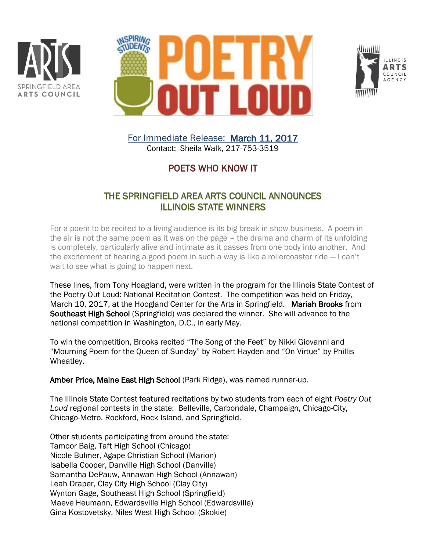





For Immediate Release: March 11, 2017 Contact: Sheila Walk, 217-753-3519

## POETS WHO KNOW IT

## THE SPRINGFIELD AREA ARTS COUNCIL ANNOUNCES ILLINOIS STATE WINNERS

For a poem to be recited to a living audience is its big break in show business. A poem in the air is not the same poem as it was on the page – the drama and charm of its unfolding is completely, particularly alive and intimate as it passes from one body into another. And the excitement of hearing a good poem in such a way is like a rollercoaster ride — I can't wait to see what is going to happen next.

These lines, from Tony Hoagland, were written in the program for the Illinois State Contest of the Poetry Out Loud: National Recitation Contest. The competition was held on Friday, March 10, 2017, at the Hoogland Center for the Arts in Springfield. Mariah Brooks from Southeast High School (Springfield) was declared the winner. She will advance to the national competition in Washington, D.C., in early May.

To win the competition, Brooks recited "The Song of the Feet" by Nikki Giovanni and "Mourning Poem for the Queen of Sunday" by Robert Hayden and "On Virtue" by Phillis Wheatley.

Amber Price, Maine East High School (Park Ridge), was named runner-up.

The Illinois State Contest featured recitations by two students from each of eight *Poetry Out Loud* regional contests in the state: Belleville, Carbondale, Champaign, Chicago-City, Chicago-Metro, Rockford, Rock Island, and Springfield.

Other students participating from around the state: Tamoor Baig, Taft High School (Chicago) Nicole Bulmer, Agape Christian School (Marion) Isabella Cooper, Danville High School (Danville) Samantha DePauw, Annawan High School (Annawan) Leah Draper, Clay City High School (Clay City) Wynton Gage, Southeast High School (Springfield) Maeve Heumann, Edwardsville High School (Edwardsville) Gina Kostovetsky, Niles West High School (Skokie)